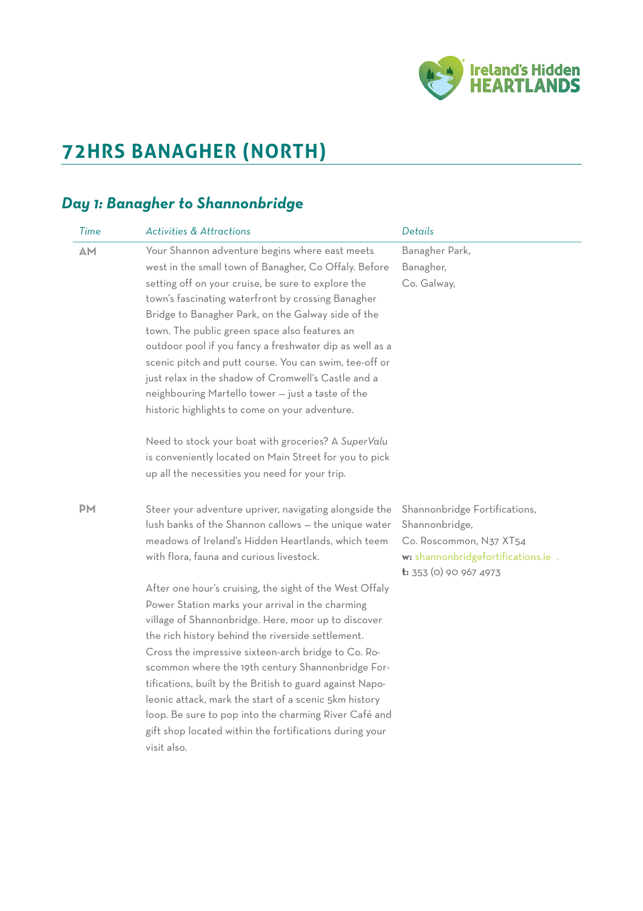

# **72HRS BANAGHER (NORTH)**

### *Day 1: Banagher to Shannonbridge*

| Time      | <b>Activities &amp; Attractions</b>                                                                                                                                                                                                                                                                                                                                                                                                                                                                                                                                                                                                                                                                                                                                                                             | <b>Details</b>                                                                                                                                |
|-----------|-----------------------------------------------------------------------------------------------------------------------------------------------------------------------------------------------------------------------------------------------------------------------------------------------------------------------------------------------------------------------------------------------------------------------------------------------------------------------------------------------------------------------------------------------------------------------------------------------------------------------------------------------------------------------------------------------------------------------------------------------------------------------------------------------------------------|-----------------------------------------------------------------------------------------------------------------------------------------------|
| <b>AM</b> | Your Shannon adventure begins where east meets<br>west in the small town of Banagher, Co Offaly. Before<br>setting off on your cruise, be sure to explore the<br>town's fascinating waterfront by crossing Banagher<br>Bridge to Banagher Park, on the Galway side of the<br>town. The public green space also features an<br>outdoor pool if you fancy a freshwater dip as well as a<br>scenic pitch and putt course. You can swim, tee-off or<br>just relax in the shadow of Cromwell's Castle and a<br>neighbouring Martello tower - just a taste of the<br>historic highlights to come on your adventure.<br>Need to stock your boat with groceries? A SuperValu<br>is conveniently located on Main Street for you to pick<br>up all the necessities you need for your trip.                                | Banagher Park,<br>Banagher,<br>Co. Galway,                                                                                                    |
| <b>PM</b> | Steer your adventure upriver, navigating alongside the<br>lush banks of the Shannon callows - the unique water<br>meadows of Ireland's Hidden Heartlands, which teem<br>with flora, fauna and curious livestock.<br>After one hour's cruising, the sight of the West Offaly<br>Power Station marks your arrival in the charming<br>village of Shannonbridge. Here, moor up to discover<br>the rich history behind the riverside settlement.<br>Cross the impressive sixteen-arch bridge to Co. Ro-<br>scommon where the 19th century Shannonbridge For-<br>tifications, built by the British to guard against Napo-<br>leonic attack, mark the start of a scenic 5km history<br>loop. Be sure to pop into the charming River Café and<br>gift shop located within the fortifications during your<br>visit also. | Shannonbridge Fortifications,<br>Shannonbridge,<br>Co. Roscommon, N37 XT54<br>w: shannonbridgefortifications.ie .<br>$t: 353$ (0) 90 967 4973 |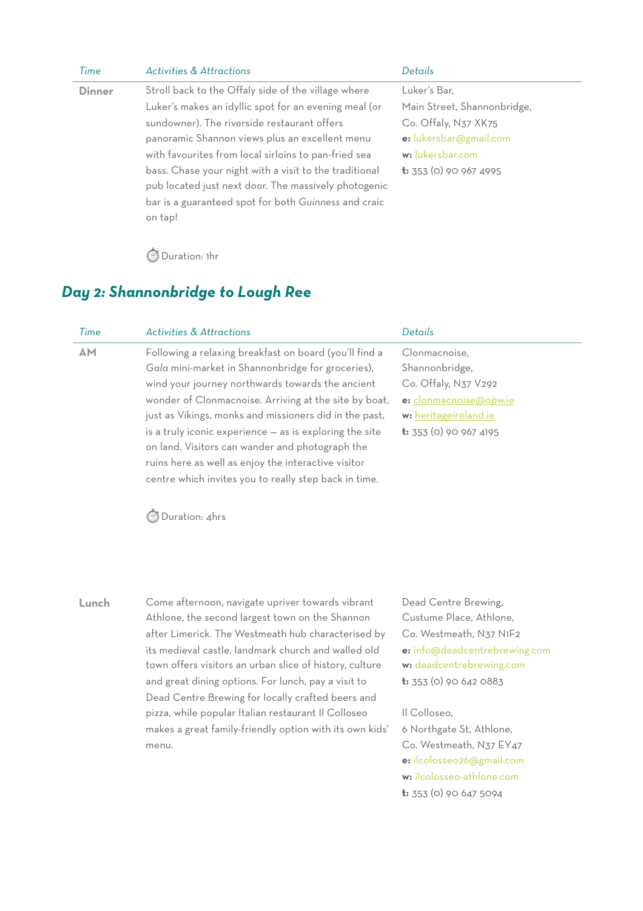| Time          | <b>Activities &amp; Attractions</b>                    | Details                       |
|---------------|--------------------------------------------------------|-------------------------------|
| <b>Dinner</b> | Stroll back to the Offaly side of the village where    | Luker's Bar,                  |
|               | Luker's makes an idyllic spot for an evening meal (or  | Main Street, Shannonbridge,   |
|               | sundowner). The riverside restaurant offers            | Co. Offaly, N37 XK75          |
|               | panoramic Shannon views plus an excellent menu         | e: lukersbar@gmail.com        |
|               | with favourites from local sirloins to pan-fried sea   | w: lukersbar.com              |
|               | bass. Chase your night with a visit to the traditional | <b>t:</b> 353 (0) 90 967 4995 |
|               | pub located just next door. The massively photogenic   |                               |
|               | bar is a guaranteed spot for both Guinness and craic   |                               |
|               | on tap!                                                |                               |
|               |                                                        |                               |

⏱ Duration: 1hr

### *Day 2: Shannonbridge to Lough Ree*

| Time      | <b>Activities &amp; Attractions</b>                     | Details                       |
|-----------|---------------------------------------------------------|-------------------------------|
| <b>AM</b> | Following a relaxing breakfast on board (you'll find a  | Clonmacnoise,                 |
|           | Gala mini-market in Shannonbridge for groceries),       | Shannonbridge,                |
|           | wind your journey northwards towards the ancient        | Co. Offaly, N37 V292          |
|           | wonder of Clonmacnoise. Arriving at the site by boat,   | e: clonmacnoise@opw.ie        |
|           | just as Vikings, monks and missioners did in the past,  | w: heritageireland.ie         |
|           | is a truly iconic experience - as is exploring the site | <b>t:</b> 353 (0) 90 967 4195 |
|           | on land. Visitors can wander and photograph the         |                               |
|           | ruins here as well as enjoy the interactive visitor     |                               |
|           | centre which invites you to really step back in time.   |                               |

⏱ Duration: 4hrs

**Lunch** Come afternoon, navigate upriver towards vibrant Athlone, the second largest town on the Shannon after Limerick. The Westmeath hub characterised by its medieval castle, landmark church and walled old town offers visitors an urban slice of history, culture and great dining options. For lunch, pay a visit to Dead Centre Brewing for locally crafted beers and pizza, while popular Italian restaurant Il Colloseo makes a great family-friendly option with its own kids' menu.

Dead Centre Brewing, Custume Place, Athlone, Co. Westmeath, N37 N1F2 **e:** [info@deadcentrebrewing.com](mailto:info@deadcentrebrewing.com) **w:** [deadcentrebrewing.com](http://deadcentrebrewing.com) **t:** 353 (0) 90 642 0883

Il Colloseo, 6 Northgate St, Athlone, Co. Westmeath, N37 EY47 **e:** [ilcolosseo26@gmail.com](mailto:ilcolosseo26@gmail.com) **w:** [ilcolosseo-athlone.com](http://ilcolosseo-athlone.com) **t:** 353 (0) 90 647 5094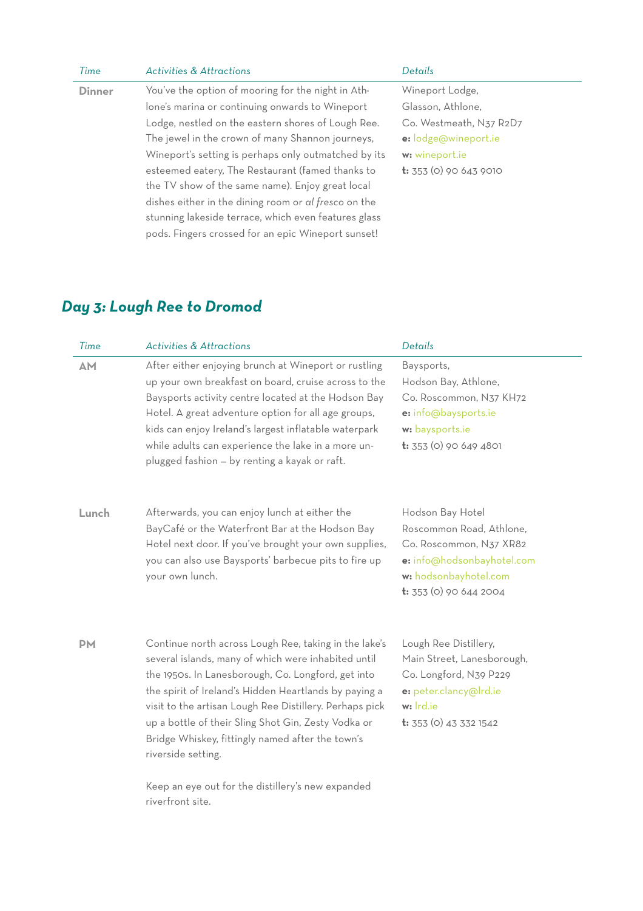| Time          | <b>Activities &amp; Attractions</b>                  | Details                       |
|---------------|------------------------------------------------------|-------------------------------|
| <b>Dinner</b> | You've the option of mooring for the night in Ath-   | Wineport Lodge,               |
|               | lone's marina or continuing onwards to Wineport      | Glasson, Athlone,             |
|               | Lodge, nestled on the eastern shores of Lough Ree.   | Co. Westmeath, N37 R2D7       |
|               | The jewel in the crown of many Shannon journeys,     | e: lodge@wineport.ie          |
|               | Wineport's setting is perhaps only outmatched by its | w: wineport.ie                |
|               | esteemed eatery, The Restaurant (famed thanks to     | <b>t:</b> 353 (0) 90 643 9010 |
|               | the TV show of the same name). Enjoy great local     |                               |
|               | dishes either in the dining room or al fresco on the |                               |
|               | stunning lakeside terrace, which even features glass |                               |
|               | pods. Fingers crossed for an epic Wineport sunset!   |                               |

## *Day 3: Lough Ree to Dromod*

| Time      | <b>Activities &amp; Attractions</b>                                                                                                                                                                                                                                                                                                                                                                                     | Details                                                                                                                                                   |
|-----------|-------------------------------------------------------------------------------------------------------------------------------------------------------------------------------------------------------------------------------------------------------------------------------------------------------------------------------------------------------------------------------------------------------------------------|-----------------------------------------------------------------------------------------------------------------------------------------------------------|
| <b>AM</b> | After either enjoying brunch at Wineport or rustling<br>up your own breakfast on board, cruise across to the<br>Baysports activity centre located at the Hodson Bay<br>Hotel. A great adventure option for all age groups,<br>kids can enjoy Ireland's largest inflatable waterpark<br>while adults can experience the lake in a more un-<br>plugged fashion - by renting a kayak or raft.                              | Baysports,<br>Hodson Bay, Athlone,<br>Co. Roscommon, N37 KH72<br>e: info@baysports.ie<br>w: baysports.ie<br>$t: 353$ (0) 90 649 4801                      |
| Lunch     | Afterwards, you can enjoy lunch at either the<br>BayCafé or the Waterfront Bar at the Hodson Bay<br>Hotel next door. If you've brought your own supplies,<br>you can also use Baysports' barbecue pits to fire up<br>your own lunch.                                                                                                                                                                                    | Hodson Bay Hotel<br>Roscommon Road, Athlone,<br>Co. Roscommon, N37 XR82<br>e: info@hodsonbayhotel.com<br>w: hodsonbayhotel.com<br>$t: 353(0)$ 90 644 2004 |
| <b>PM</b> | Continue north across Lough Ree, taking in the lake's<br>several islands, many of which were inhabited until<br>the 1950s. In Lanesborough, Co. Longford, get into<br>the spirit of Ireland's Hidden Heartlands by paying a<br>visit to the artisan Lough Ree Distillery. Perhaps pick<br>up a bottle of their Sling Shot Gin, Zesty Vodka or<br>Bridge Whiskey, fittingly named after the town's<br>riverside setting. | Lough Ree Distillery,<br>Main Street, Lanesborough,<br>Co. Longford, N39 P229<br>e: peter.clancy@lrd.ie<br>w: Ird.ie<br><b>t:</b> 353 (0) 43 332 1542     |
|           | Keep an eye out for the distillery's new expanded<br>riverfront site.                                                                                                                                                                                                                                                                                                                                                   |                                                                                                                                                           |